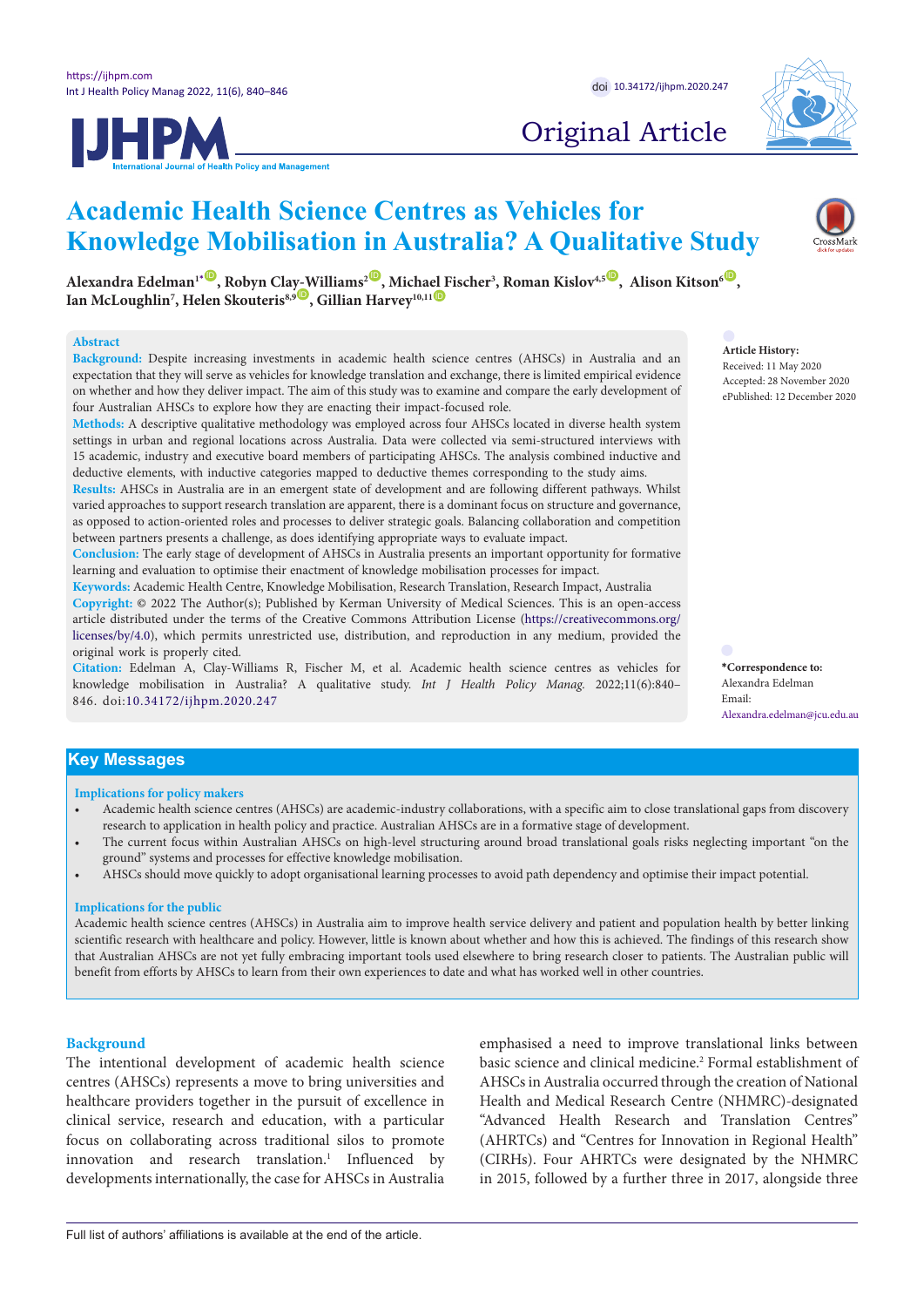**IJHPM** 



# Original Article

# **Academic Health Science Centres as Vehicles for Knowledge Mobilisation in Australia? A Qualitative Study**

 $A$ lexandra Edelman $I^*$  $I^*$  , Robyn Cla[y-W](https://orcid.org/0000-0001-9959-5750)illiams<sup>2 ,</sup> Micha[el F](https://orcid.org/0000-0003-0937-7819)ischer<sup>3</sup>, Roman Kislov $A^{.5}$  , Alison Kitson ${}^6$  , Lan McLoughlin<sup>7</sup>, Helen Skouteris<sup>8,9</sup> D, Gillian Harvey<sup>10,11 O</sup>

## **Abstract**

**Background:** Despite increasing investments in academic health science centres (AHSCs) in Australia and an expectation that they will serve as vehicles for knowledge translation and exchange, there is limited empirical evidence on whether and how they deliver impact. The aim of this study was to examine and compare the early development of four Australian AHSCs to explore how they are enacting their impact-focused role.

**Methods:** A descriptive qualitative methodology was employed across four AHSCs located in diverse health system settings in urban and regional locations across Australia. Data were collected via semi-structured interviews with 15 academic, industry and executive board members of participating AHSCs. The analysis combined inductive and deductive elements, with inductive categories mapped to deductive themes corresponding to the study aims.

**Results:** AHSCs in Australia are in an emergent state of development and are following different pathways. Whilst varied approaches to support research translation are apparent, there is a dominant focus on structure and governance, as opposed to action-oriented roles and processes to deliver strategic goals. Balancing collaboration and competition between partners presents a challenge, as does identifying appropriate ways to evaluate impact.

**Conclusion:** The early stage of development of AHSCs in Australia presents an important opportunity for formative learning and evaluation to optimise their enactment of knowledge mobilisation processes for impact.

**Keywords:** Academic Health Centre, Knowledge Mobilisation, Research Translation, Research Impact, Australia **Copyright:** © 2022 The Author(s); Published by Kerman University of Medical Sciences. This is an open-access article distributed under the terms of the Creative Commons Attribution License [\(https://creativecommons.org/](https://creativecommons.org/licenses/by/4.0) [licenses/by/4.0\)](https://creativecommons.org/licenses/by/4.0), which permits unrestricted use, distribution, and reproduction in any medium, provided the original work is properly cited.

**Citation:** Edelman A, Clay-Williams R, Fischer M, et al. Academic health science centres as vehicles for knowledge mobilisation in Australia? A qualitative study. *Int J Health Policy Manag.* 2022;11(6):840– 846. doi:[10.34172/ijhpm.2020.247](https://doi.org/10.34172/ijhpm.2020.247)

# **Article History:**

Received: 11 May 2020 Accepted: 28 November 2020 ePublished: 12 December 2020

<span id="page-0-0"></span>**\*Correspondence to:** Alexandra Edelman Email: Alexandra.edelman@jcu.edu.au

# **Key Messages**

## **Implications for policy makers**

- Academic health science centres (AHSCs) are academic-industry collaborations, with a specific aim to close translational gaps from discovery research to application in health policy and practice. Australian AHSCs are in a formative stage of development.
- The current focus within Australian AHSCs on high-level structuring around broad translational goals risks neglecting important "on the ground" systems and processes for effective knowledge mobilisation.
- AHSCs should move quickly to adopt organisational learning processes to avoid path dependency and optimise their impact potential.

# **Implications for the public**

Academic health science centres (AHSCs) in Australia aim to improve health service delivery and patient and population health by better linking scientific research with healthcare and policy. However, little is known about whether and how this is achieved. The findings of this research show that Australian AHSCs are not yet fully embracing important tools used elsewhere to bring research closer to patients. The Australian public will benefit from efforts by AHSCs to learn from their own experiences to date and what has worked well in other countries.

# **Background**

The intentional development of academic health science centres (AHSCs) represents a move to bring universities and healthcare providers together in the pursuit of excellence in clinical service, research and education, with a particular focus on collaborating across traditional silos to promote innovation and research translation.<sup>1</sup> Influenced by developments internationally, the case for AHSCs in Australia

emphasised a need to improve translational links between basic science and clinical medicine.<sup>2</sup> Formal establishment of AHSCs in Australia occurred through the creation of National Health and Medical Research Centre (NHMRC)-designated "Advanced Health Research and Translation Centres" (AHRTCs) and "Centres for Innovation in Regional Health" (CIRHs). Four AHRTCs were designated by the NHMRC in 2015, followed by a further three in 2017, alongside three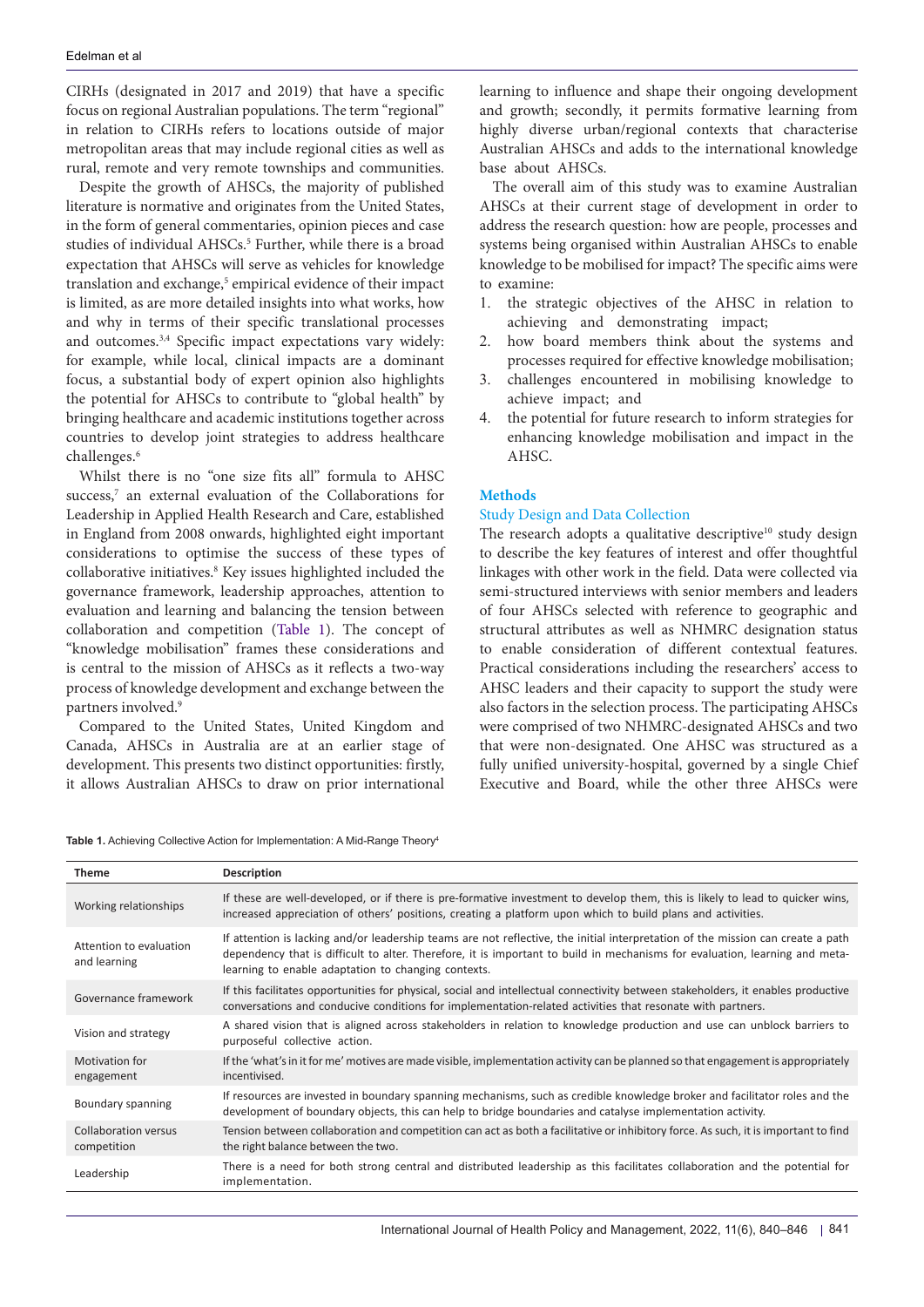CIRHs (designated in 2017 and 2019) that have a specific focus on regional Australian populations. The term "regional" in relation to CIRHs refers to locations outside of major metropolitan areas that may include regional cities as well as rural, remote and very remote townships and communities.

Despite the growth of AHSCs, the majority of published literature is normative and originates from the United States, in the form of general commentaries, opinion pieces and case studies of individual AHSCs.<sup>5</sup> Further, while there is a broad expectation that AHSCs will serve as vehicles for knowledge translation and exchange,<sup>5</sup> empirical evidence of their impact is limited, as are more detailed insights into what works, how and why in terms of their specific translational processes and outcomes.<sup>3,4</sup> Specific impact expectations vary widely: for example, while local, clinical impacts are a dominant focus, a substantial body of expert opinion also highlights the potential for AHSCs to contribute to "global health" by bringing healthcare and academic institutions together across countries to develop joint strategies to address healthcare challenges.<sup>6</sup>

Whilst there is no "one size fits all" formula to AHSC success,<sup>7</sup> an external evaluation of the Collaborations for Leadership in Applied Health Research and Care, established in England from 2008 onwards, highlighted eight important considerations to optimise the success of these types of collaborative initiatives.<sup>8</sup> Key issues highlighted included the governance framework, leadership approaches, attention to evaluation and learning and balancing the tension between collaboration and competition [\(Table 1\)](#page-1-0). The concept of "knowledge mobilisation" frames these considerations and is central to the mission of AHSCs as it reflects a two-way process of knowledge development and exchange between the partners involved.9

Compared to the United States, United Kingdom and Canada, AHSCs in Australia are at an earlier stage of development. This presents two distinct opportunities: firstly, it allows Australian AHSCs to draw on prior international learning to influence and shape their ongoing development and growth; secondly, it permits formative learning from highly diverse urban/regional contexts that characterise Australian AHSCs and adds to the international knowledge base about AHSCs.

The overall aim of this study was to examine Australian AHSCs at their current stage of development in order to address the research question: how are people, processes and systems being organised within Australian AHSCs to enable knowledge to be mobilised for impact? The specific aims were to examine:

- 1. the strategic objectives of the AHSC in relation to achieving and demonstrating impact;
- 2. how board members think about the systems and processes required for effective knowledge mobilisation;
- 3. challenges encountered in mobilising knowledge to achieve impact; and
- 4. the potential for future research to inform strategies for enhancing knowledge mobilisation and impact in the AHSC.

# **Methods**

# Study Design and Data Collection

The research adopts a qualitative descriptive<sup>10</sup> study design to describe the key features of interest and offer thoughtful linkages with other work in the field. Data were collected via semi-structured interviews with senior members and leaders of four AHSCs selected with reference to geographic and structural attributes as well as NHMRC designation status to enable consideration of different contextual features. Practical considerations including the researchers' access to AHSC leaders and their capacity to support the study were also factors in the selection process. The participating AHSCs were comprised of two NHMRC-designated AHSCs and two that were non-designated. One AHSC was structured as a fully unified university-hospital, governed by a single Chief Executive and Board, while the other three AHSCs were

<span id="page-1-0"></span>

|  |  | Table 1. Achieving Collective Action for Implementation: A Mid-Range Theory <sup>4</sup> |  |  |  |
|--|--|------------------------------------------------------------------------------------------|--|--|--|
|--|--|------------------------------------------------------------------------------------------|--|--|--|

| <b>Theme</b>                            | Description                                                                                                                                                                                                                                                                                                           |  |  |  |  |
|-----------------------------------------|-----------------------------------------------------------------------------------------------------------------------------------------------------------------------------------------------------------------------------------------------------------------------------------------------------------------------|--|--|--|--|
| Working relationships                   | If these are well-developed, or if there is pre-formative investment to develop them, this is likely to lead to quicker wins,<br>increased appreciation of others' positions, creating a platform upon which to build plans and activities.                                                                           |  |  |  |  |
| Attention to evaluation<br>and learning | If attention is lacking and/or leadership teams are not reflective, the initial interpretation of the mission can create a path<br>dependency that is difficult to alter. Therefore, it is important to build in mechanisms for evaluation, learning and meta-<br>learning to enable adaptation to changing contexts. |  |  |  |  |
| Governance framework                    | If this facilitates opportunities for physical, social and intellectual connectivity between stakeholders, it enables productive<br>conversations and conducive conditions for implementation-related activities that resonate with partners.                                                                         |  |  |  |  |
| Vision and strategy                     | A shared vision that is aligned across stakeholders in relation to knowledge production and use can unblock barriers to<br>purposeful collective action.                                                                                                                                                              |  |  |  |  |
| <b>Motivation for</b><br>engagement     | If the 'what's in it for me' motives are made visible, implementation activity can be planned so that engagement is appropriately<br>incentivised.                                                                                                                                                                    |  |  |  |  |
| Boundary spanning                       | If resources are invested in boundary spanning mechanisms, such as credible knowledge broker and facilitator roles and the<br>development of boundary objects, this can help to bridge boundaries and catalyse implementation activity.                                                                               |  |  |  |  |
| Collaboration versus<br>competition     | Tension between collaboration and competition can act as both a facilitative or inhibitory force. As such, it is important to find<br>the right balance between the two.                                                                                                                                              |  |  |  |  |
| Leadership                              | There is a need for both strong central and distributed leadership as this facilitates collaboration and the potential for<br>implementation.                                                                                                                                                                         |  |  |  |  |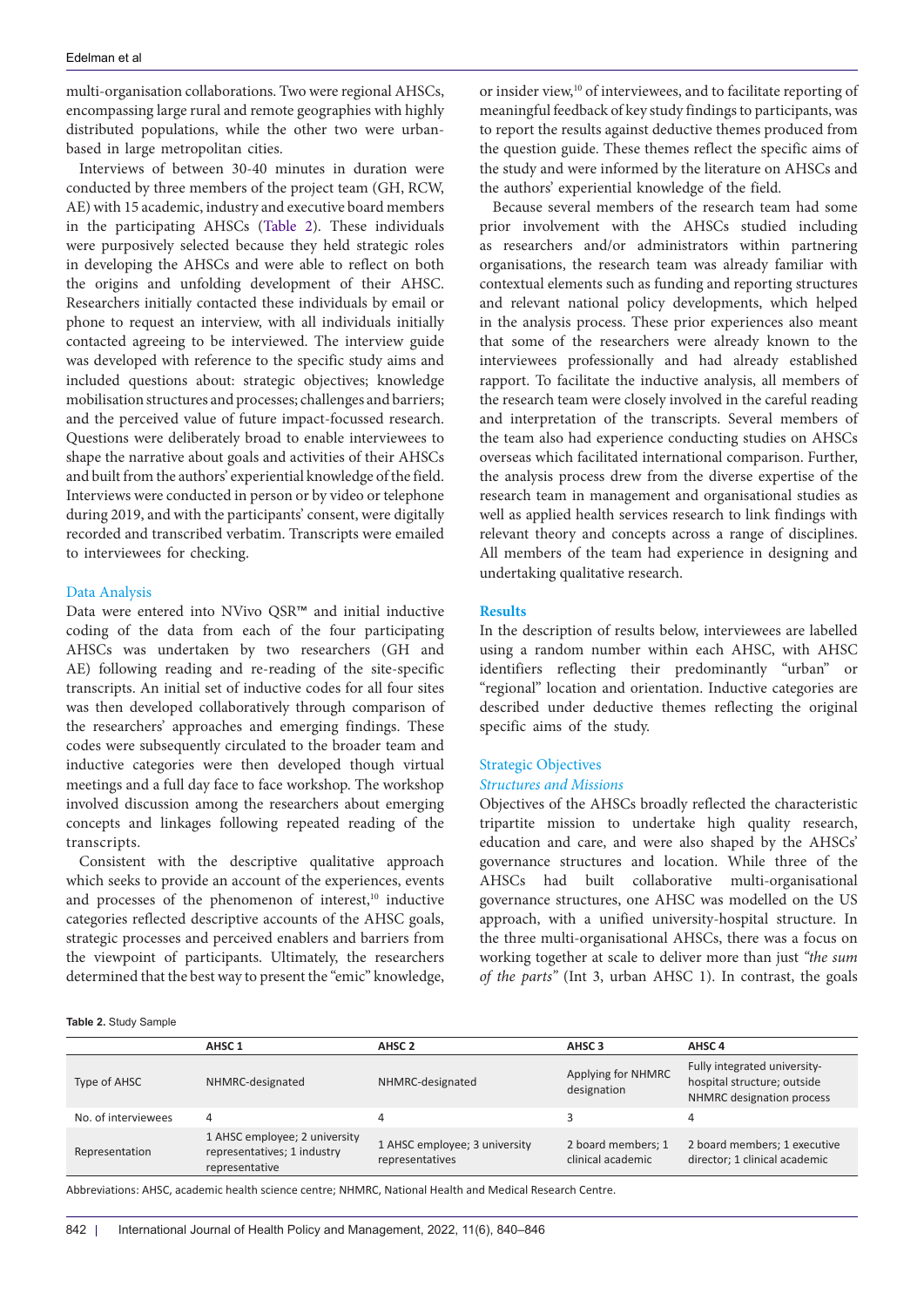multi-organisation collaborations. Two were regional AHSCs, encompassing large rural and remote geographies with highly distributed populations, while the other two were urbanbased in large metropolitan cities.

Interviews of between 30-40 minutes in duration were conducted by three members of the project team (GH, RCW, AE) with 15 academic, industry and executive board members in the participating AHSCs ([Table 2](#page-2-0)). These individuals were purposively selected because they held strategic roles in developing the AHSCs and were able to reflect on both the origins and unfolding development of their AHSC. Researchers initially contacted these individuals by email or phone to request an interview, with all individuals initially contacted agreeing to be interviewed. The interview guide was developed with reference to the specific study aims and included questions about: strategic objectives; knowledge mobilisation structures and processes; challenges and barriers; and the perceived value of future impact-focussed research. Questions were deliberately broad to enable interviewees to shape the narrative about goals and activities of their AHSCs and built from the authors' experiential knowledge of the field. Interviews were conducted in person or by video or telephone during 2019, and with the participants' consent, were digitally recorded and transcribed verbatim. Transcripts were emailed to interviewees for checking.

# Data Analysis

Data were entered into NVivo QSR™ and initial inductive coding of the data from each of the four participating AHSCs was undertaken by two researchers (GH and AE) following reading and re-reading of the site-specific transcripts. An initial set of inductive codes for all four sites was then developed collaboratively through comparison of the researchers' approaches and emerging findings. These codes were subsequently circulated to the broader team and inductive categories were then developed though virtual meetings and a full day face to face workshop. The workshop involved discussion among the researchers about emerging concepts and linkages following repeated reading of the transcripts.

Consistent with the descriptive qualitative approach which seeks to provide an account of the experiences, events and processes of the phenomenon of interest,<sup>10</sup> inductive categories reflected descriptive accounts of the AHSC goals, strategic processes and perceived enablers and barriers from the viewpoint of participants. Ultimately, the researchers determined that the best way to present the "emic" knowledge,

or insider view,<sup>10</sup> of interviewees, and to facilitate reporting of meaningful feedback of key study findings to participants, was to report the results against deductive themes produced from the question guide. These themes reflect the specific aims of the study and were informed by the literature on AHSCs and the authors' experiential knowledge of the field.

Because several members of the research team had some prior involvement with the AHSCs studied including as researchers and/or administrators within partnering organisations, the research team was already familiar with contextual elements such as funding and reporting structures and relevant national policy developments, which helped in the analysis process. These prior experiences also meant that some of the researchers were already known to the interviewees professionally and had already established rapport. To facilitate the inductive analysis, all members of the research team were closely involved in the careful reading and interpretation of the transcripts. Several members of the team also had experience conducting studies on AHSCs overseas which facilitated international comparison. Further, the analysis process drew from the diverse expertise of the research team in management and organisational studies as well as applied health services research to link findings with relevant theory and concepts across a range of disciplines. All members of the team had experience in designing and undertaking qualitative research.

# **Results**

In the description of results below, interviewees are labelled using a random number within each AHSC, with AHSC identifiers reflecting their predominantly "urban" or "regional" location and orientation. Inductive categories are described under deductive themes reflecting the original specific aims of the study.

# Strategic Objectives *Structures and Missions*

Objectives of the AHSCs broadly reflected the characteristic tripartite mission to undertake high quality research, education and care, and were also shaped by the AHSCs' governance structures and location. While three of the AHSCs had built collaborative multi-organisational governance structures, one AHSC was modelled on the US approach, with a unified university-hospital structure. In the three multi-organisational AHSCs, there was a focus on working together at scale to deliver more than just *"the sum of the parts"* (Int 3, urban AHSC 1). In contrast, the goals

<span id="page-2-0"></span>**Table 2.** Study Sample

|                     | AHSC <sub>1</sub>                                                              | AHSC 2                                           | AHSC <sub>3</sub>                       | AHSC <sub>4</sub>                                                                        |  |  |
|---------------------|--------------------------------------------------------------------------------|--------------------------------------------------|-----------------------------------------|------------------------------------------------------------------------------------------|--|--|
| Type of AHSC        | NHMRC-designated                                                               | NHMRC-designated                                 | Applying for NHMRC<br>designation       | Fully integrated university-<br>hospital structure; outside<br>NHMRC designation process |  |  |
| No. of interviewees | 4                                                                              | 4                                                |                                         |                                                                                          |  |  |
| Representation      | 1 AHSC employee; 2 university<br>representatives; 1 industry<br>representative | 1 AHSC employee; 3 university<br>representatives | 2 board members; 1<br>clinical academic | 2 board members; 1 executive<br>director; 1 clinical academic                            |  |  |

Abbreviations: AHSC, academic health science centre; NHMRC, National Health and Medical Research Centre.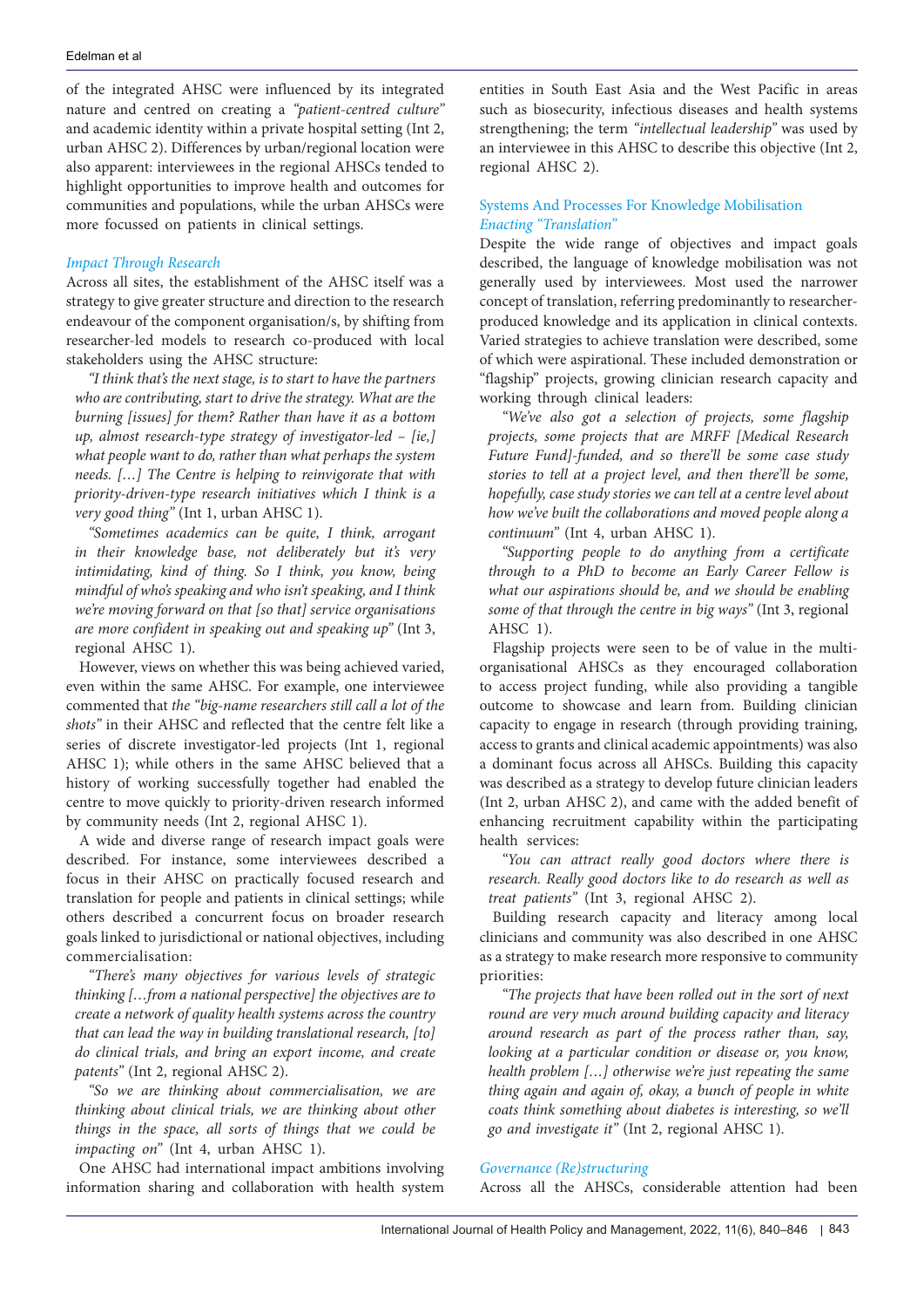of the integrated AHSC were influenced by its integrated nature and centred on creating a *"patient-centred culture"* and academic identity within a private hospital setting (Int 2, urban AHSC 2). Differences by urban/regional location were also apparent: interviewees in the regional AHSCs tended to highlight opportunities to improve health and outcomes for communities and populations, while the urban AHSCs were more focussed on patients in clinical settings.

# *Impact Through Research*

Across all sites, the establishment of the AHSC itself was a strategy to give greater structure and direction to the research endeavour of the component organisation/s, by shifting from researcher-led models to research co-produced with local stakeholders using the AHSC structure:

*"I think that's the next stage, is to start to have the partners who are contributing, start to drive the strategy. What are the burning [issues] for them? Rather than have it as a bottom up, almost research-type strategy of investigator-led – [ie,] what people want to do, rather than what perhaps the system needs. […] The Centre is helping to reinvigorate that with priority-driven-type research initiatives which I think is a very good thing"* (Int 1, urban AHSC 1).

*"Sometimes academics can be quite, I think, arrogant in their knowledge base, not deliberately but it's very intimidating, kind of thing. So I think, you know, being mindful of who's speaking and who isn't speaking, and I think we're moving forward on that [so that] service organisations are more confident in speaking out and speaking up"* (Int 3, regional AHSC 1).

However, views on whether this was being achieved varied, even within the same AHSC. For example, one interviewee commented that *the "big-name researchers still call a lot of the shots"* in their AHSC and reflected that the centre felt like a series of discrete investigator-led projects (Int 1, regional AHSC 1); while others in the same AHSC believed that a history of working successfully together had enabled the centre to move quickly to priority-driven research informed by community needs (Int 2, regional AHSC 1).

A wide and diverse range of research impact goals were described. For instance, some interviewees described a focus in their AHSC on practically focused research and translation for people and patients in clinical settings; while others described a concurrent focus on broader research goals linked to jurisdictional or national objectives, including commercialisation:

*"There's many objectives for various levels of strategic thinking […from a national perspective] the objectives are to create a network of quality health systems across the country that can lead the way in building translational research, [to] do clinical trials, and bring an export income, and create patents"* (Int 2, regional AHSC 2).

*"So we are thinking about commercialisation, we are thinking about clinical trials, we are thinking about other things in the space, all sorts of things that we could be impacting on*" (Int 4, urban AHSC 1).

One AHSC had international impact ambitions involving information sharing and collaboration with health system entities in South East Asia and the West Pacific in areas such as biosecurity, infectious diseases and health systems strengthening; the term *"intellectual leadership"* was used by an interviewee in this AHSC to describe this objective (Int 2, regional AHSC 2).

# Systems And Processes For Knowledge Mobilisation *Enacting "Translation"*

Despite the wide range of objectives and impact goals described, the language of knowledge mobilisation was not generally used by interviewees. Most used the narrower concept of translation, referring predominantly to researcherproduced knowledge and its application in clinical contexts. Varied strategies to achieve translation were described, some of which were aspirational. These included demonstration or "flagship" projects, growing clinician research capacity and working through clinical leaders:

*"We've also got a selection of projects, some flagship projects, some projects that are MRFF [Medical Research Future Fund]-funded, and so there'll be some case study stories to tell at a project level, and then there'll be some, hopefully, case study stories we can tell at a centre level about how we've built the collaborations and moved people along a continuum"* (Int 4, urban AHSC 1).

*"Supporting people to do anything from a certificate through to a PhD to become an Early Career Fellow is what our aspirations should be, and we should be enabling some of that through the centre in big ways"* (Int 3, regional AHSC 1).

Flagship projects were seen to be of value in the multiorganisational AHSCs as they encouraged collaboration to access project funding, while also providing a tangible outcome to showcase and learn from. Building clinician capacity to engage in research (through providing training, access to grants and clinical academic appointments) was also a dominant focus across all AHSCs. Building this capacity was described as a strategy to develop future clinician leaders (Int 2, urban AHSC 2), and came with the added benefit of enhancing recruitment capability within the participating health services:

*"You can attract really good doctors where there is research. Really good doctors like to do research as well as treat patients"* (Int 3, regional AHSC 2).

Building research capacity and literacy among local clinicians and community was also described in one AHSC as a strategy to make research more responsive to community priorities:

*"The projects that have been rolled out in the sort of next round are very much around building capacity and literacy around research as part of the process rather than, say, looking at a particular condition or disease or, you know, health problem […] otherwise we're just repeating the same thing again and again of, okay, a bunch of people in white coats think something about diabetes is interesting, so we'll go and investigate it"* (Int 2, regional AHSC 1).

# *Governance (Re)structuring*

Across all the AHSCs, considerable attention had been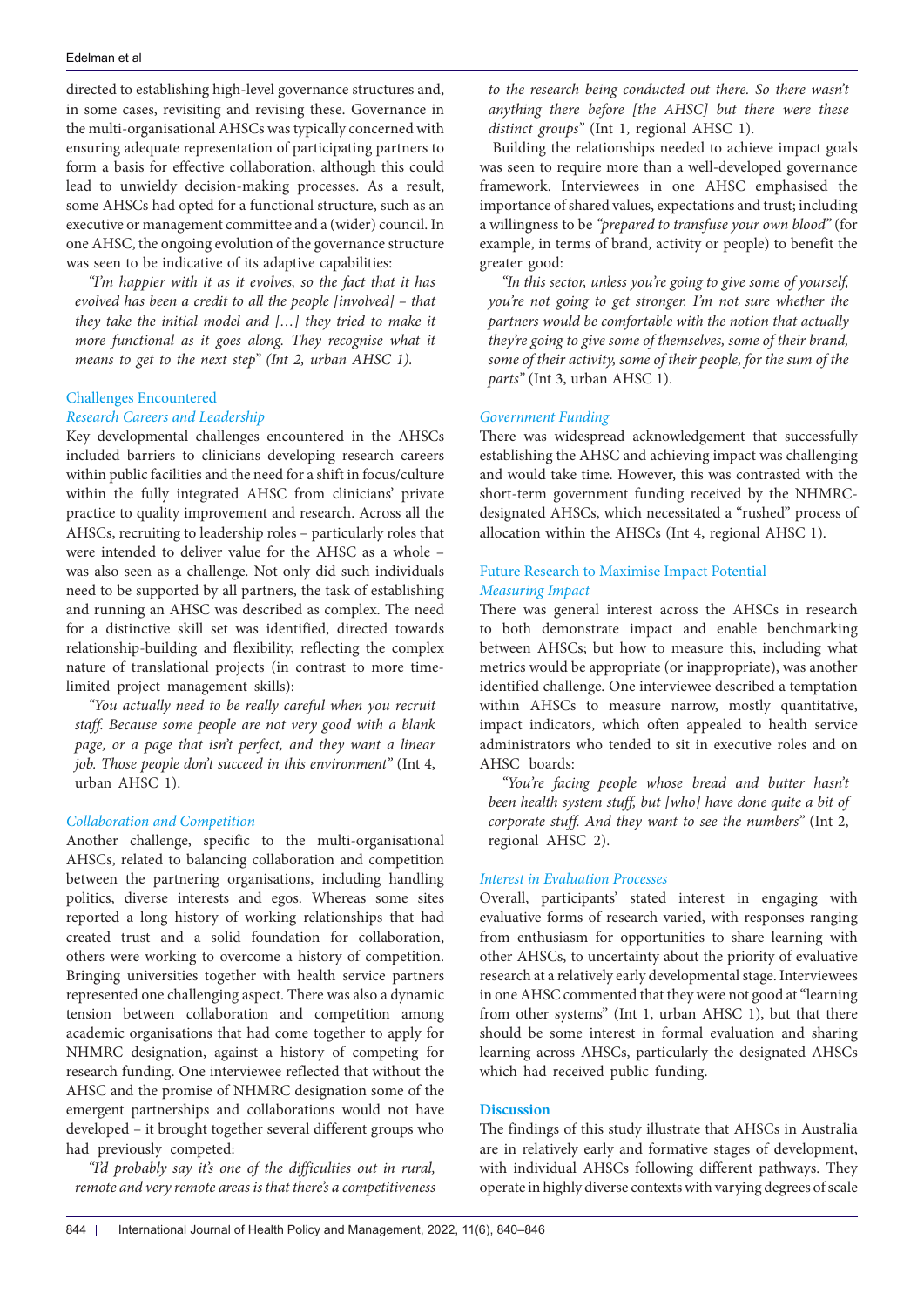directed to establishing high-level governance structures and, in some cases, revisiting and revising these. Governance in the multi-organisational AHSCs was typically concerned with ensuring adequate representation of participating partners to form a basis for effective collaboration, although this could lead to unwieldy decision-making processes. As a result, some AHSCs had opted for a functional structure, such as an executive or management committee and a (wider) council. In one AHSC, the ongoing evolution of the governance structure was seen to be indicative of its adaptive capabilities:

*"I'm happier with it as it evolves, so the fact that it has evolved has been a credit to all the people [involved] – that they take the initial model and […] they tried to make it more functional as it goes along. They recognise what it means to get to the next step" (Int 2, urban AHSC 1).* 

# Challenges Encountered

# *Research Careers and Leadership*

Key developmental challenges encountered in the AHSCs included barriers to clinicians developing research careers within public facilities and the need for a shift in focus/culture within the fully integrated AHSC from clinicians' private practice to quality improvement and research. Across all the AHSCs, recruiting to leadership roles – particularly roles that were intended to deliver value for the AHSC as a whole – was also seen as a challenge. Not only did such individuals need to be supported by all partners, the task of establishing and running an AHSC was described as complex. The need for a distinctive skill set was identified, directed towards relationship-building and flexibility, reflecting the complex nature of translational projects (in contrast to more timelimited project management skills):

*"You actually need to be really careful when you recruit staff. Because some people are not very good with a blank page, or a page that isn't perfect, and they want a linear job. Those people don't succeed in this environment"* (Int 4, urban AHSC 1).

# *Collaboration and Competition*

Another challenge, specific to the multi-organisational AHSCs, related to balancing collaboration and competition between the partnering organisations, including handling politics, diverse interests and egos. Whereas some sites reported a long history of working relationships that had created trust and a solid foundation for collaboration, others were working to overcome a history of competition. Bringing universities together with health service partners represented one challenging aspect. There was also a dynamic tension between collaboration and competition among academic organisations that had come together to apply for NHMRC designation, against a history of competing for research funding. One interviewee reflected that without the AHSC and the promise of NHMRC designation some of the emergent partnerships and collaborations would not have developed – it brought together several different groups who had previously competed:

*"I'd probably say it's one of the difficulties out in rural, remote and very remote areas is that there's a competitiveness* 

*to the research being conducted out there. So there wasn't anything there before [the AHSC] but there were these distinct groups"* (Int 1, regional AHSC 1).

Building the relationships needed to achieve impact goals was seen to require more than a well-developed governance framework. Interviewees in one AHSC emphasised the importance of shared values, expectations and trust; including a willingness to be *"prepared to transfuse your own blood"* (for example, in terms of brand, activity or people) to benefit the greater good:

*"In this sector, unless you're going to give some of yourself, you're not going to get stronger. I'm not sure whether the partners would be comfortable with the notion that actually they're going to give some of themselves, some of their brand, some of their activity, some of their people, for the sum of the parts"* (Int 3, urban AHSC 1).

# *Government Funding*

There was widespread acknowledgement that successfully establishing the AHSC and achieving impact was challenging and would take time. However, this was contrasted with the short-term government funding received by the NHMRCdesignated AHSCs, which necessitated a "rushed" process of allocation within the AHSCs (Int 4, regional AHSC 1).

# Future Research to Maximise Impact Potential *Measuring Impact*

There was general interest across the AHSCs in research to both demonstrate impact and enable benchmarking between AHSCs; but how to measure this, including what metrics would be appropriate (or inappropriate), was another identified challenge. One interviewee described a temptation within AHSCs to measure narrow, mostly quantitative, impact indicators, which often appealed to health service administrators who tended to sit in executive roles and on AHSC boards:

*"You're facing people whose bread and butter hasn't been health system stuff, but [who] have done quite a bit of corporate stuff. And they want to see the numbers"* (Int 2, regional AHSC 2).

# *Interest in Evaluation Processes*

Overall, participants' stated interest in engaging with evaluative forms of research varied, with responses ranging from enthusiasm for opportunities to share learning with other AHSCs, to uncertainty about the priority of evaluative research at a relatively early developmental stage. Interviewees in one AHSC commented that they were not good at "learning from other systems" (Int 1, urban AHSC 1), but that there should be some interest in formal evaluation and sharing learning across AHSCs, particularly the designated AHSCs which had received public funding.

# **Discussion**

The findings of this study illustrate that AHSCs in Australia are in relatively early and formative stages of development, with individual AHSCs following different pathways. They operate in highly diverse contexts with varying degrees of scale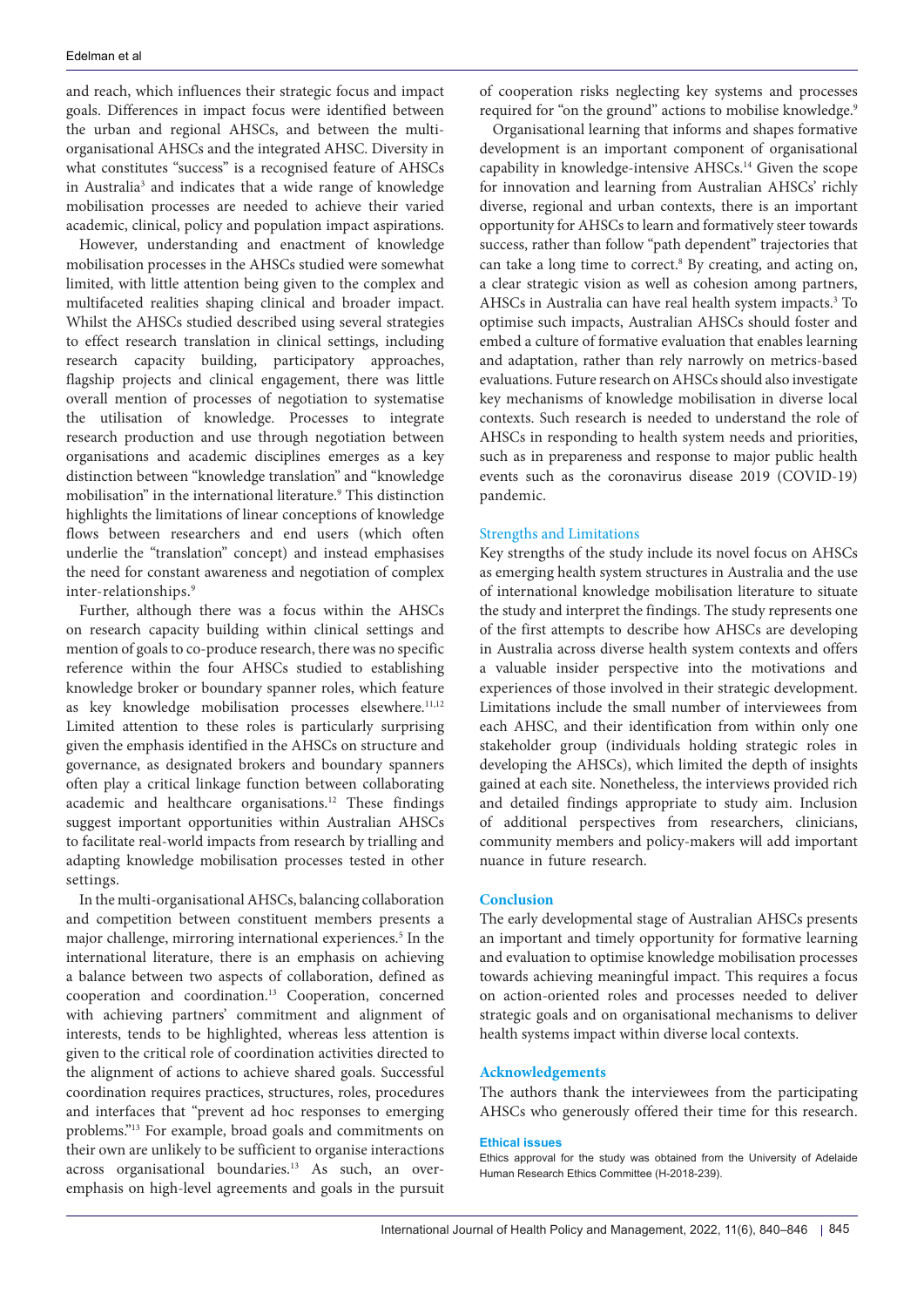and reach, which influences their strategic focus and impact goals. Differences in impact focus were identified between the urban and regional AHSCs, and between the multiorganisational AHSCs and the integrated AHSC. Diversity in what constitutes "success" is a recognised feature of AHSCs in Australia<sup>3</sup> and indicates that a wide range of knowledge mobilisation processes are needed to achieve their varied academic, clinical, policy and population impact aspirations.

However, understanding and enactment of knowledge mobilisation processes in the AHSCs studied were somewhat limited, with little attention being given to the complex and multifaceted realities shaping clinical and broader impact. Whilst the AHSCs studied described using several strategies to effect research translation in clinical settings, including research capacity building, participatory approaches, flagship projects and clinical engagement, there was little overall mention of processes of negotiation to systematise the utilisation of knowledge. Processes to integrate research production and use through negotiation between organisations and academic disciplines emerges as a key distinction between "knowledge translation" and "knowledge mobilisation" in the international literature.<sup>9</sup> This distinction highlights the limitations of linear conceptions of knowledge flows between researchers and end users (which often underlie the "translation" concept) and instead emphasises the need for constant awareness and negotiation of complex inter-relationships.9

Further, although there was a focus within the AHSCs on research capacity building within clinical settings and mention of goals to co-produce research, there was no specific reference within the four AHSCs studied to establishing knowledge broker or boundary spanner roles, which feature as key knowledge mobilisation processes elsewhere.<sup>11,12</sup> Limited attention to these roles is particularly surprising given the emphasis identified in the AHSCs on structure and governance, as designated brokers and boundary spanners often play a critical linkage function between collaborating academic and healthcare organisations.<sup>12</sup> These findings suggest important opportunities within Australian AHSCs to facilitate real-world impacts from research by trialling and adapting knowledge mobilisation processes tested in other settings.

In the multi-organisational AHSCs, balancing collaboration and competition between constituent members presents a major challenge, mirroring international experiences.<sup>5</sup> In the international literature, there is an emphasis on achieving a balance between two aspects of collaboration, defined as cooperation and coordination.13 Cooperation, concerned with achieving partners' commitment and alignment of interests, tends to be highlighted, whereas less attention is given to the critical role of coordination activities directed to the alignment of actions to achieve shared goals. Successful coordination requires practices, structures, roles, procedures and interfaces that "prevent ad hoc responses to emerging problems."13 For example, broad goals and commitments on their own are unlikely to be sufficient to organise interactions across organisational boundaries.<sup>13</sup> As such, an overemphasis on high-level agreements and goals in the pursuit of cooperation risks neglecting key systems and processes required for "on the ground" actions to mobilise knowledge.<sup>9</sup>

Organisational learning that informs and shapes formative development is an important component of organisational capability in knowledge-intensive AHSCs.14 Given the scope for innovation and learning from Australian AHSCs' richly diverse, regional and urban contexts, there is an important opportunity for AHSCs to learn and formatively steer towards success, rather than follow "path dependent" trajectories that can take a long time to correct.<sup>8</sup> By creating, and acting on, a clear strategic vision as well as cohesion among partners, AHSCs in Australia can have real health system impacts.<sup>3</sup> To optimise such impacts, Australian AHSCs should foster and embed a culture of formative evaluation that enables learning and adaptation, rather than rely narrowly on metrics-based evaluations. Future research on AHSCs should also investigate key mechanisms of knowledge mobilisation in diverse local contexts. Such research is needed to understand the role of AHSCs in responding to health system needs and priorities, such as in prepareness and response to major public health events such as the coronavirus disease 2019 (COVID-19) pandemic.

# Strengths and Limitations

Key strengths of the study include its novel focus on AHSCs as emerging health system structures in Australia and the use of international knowledge mobilisation literature to situate the study and interpret the findings. The study represents one of the first attempts to describe how AHSCs are developing in Australia across diverse health system contexts and offers a valuable insider perspective into the motivations and experiences of those involved in their strategic development. Limitations include the small number of interviewees from each AHSC, and their identification from within only one stakeholder group (individuals holding strategic roles in developing the AHSCs), which limited the depth of insights gained at each site. Nonetheless, the interviews provided rich and detailed findings appropriate to study aim. Inclusion of additional perspectives from researchers, clinicians, community members and policy-makers will add important nuance in future research.

# **Conclusion**

The early developmental stage of Australian AHSCs presents an important and timely opportunity for formative learning and evaluation to optimise knowledge mobilisation processes towards achieving meaningful impact. This requires a focus on action-oriented roles and processes needed to deliver strategic goals and on organisational mechanisms to deliver health systems impact within diverse local contexts.

# **Acknowledgements**

The authors thank the interviewees from the participating AHSCs who generously offered their time for this research.

## **Ethical issues**

Ethics approval for the study was obtained from the University of Adelaide Human Research Ethics Committee (H-2018-239).